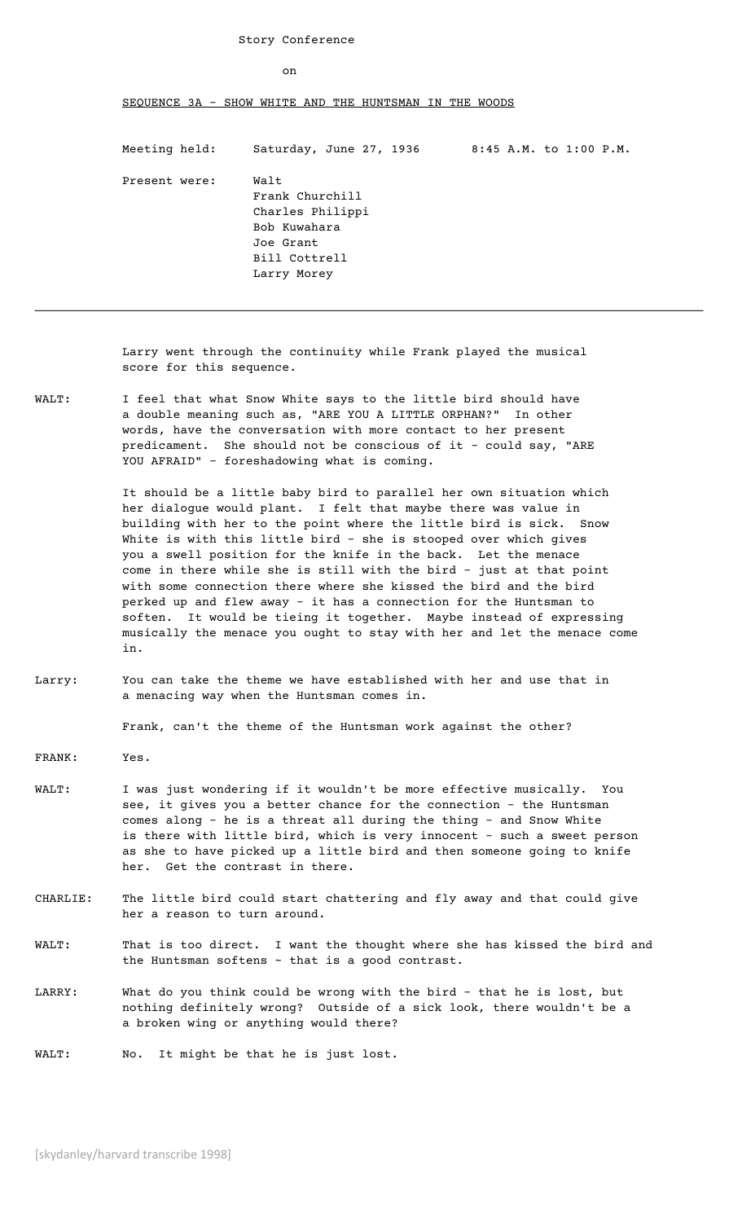## Story Conference

on

## SEQUENCE 3A - SHOW WHITE AND THE HUNTSMAN IN THE WOODS

Meeting held: Saturday, June 27, 1936 8:45 A.M. to 1:00 P.M.

Present were: Walt Frank Churchill Charles Philippi Bob Kuwahara Joe Grant Bill Cottrell Larry Morey

Larry went through the continuity while Frank played the musical score for this sequence.

 $\_$  . The contribution of the contribution of the contribution of the contribution of the contribution of the contribution of the contribution of the contribution of the contribution of the contribution of the contributio

WALT: I feel that what Snow White says to the little bird should have a double meaning such as, "ARE YOU A LITTLE ORPHAN?" In other words, have the conversation with more contact to her present predicament. She should not be conscious of it – could say, "ARE YOU AFRAID" – foreshadowing what is coming.

> It should be a little baby bird to parallel her own situation which her dialogue would plant. I felt that maybe there was value in building with her to the point where the little bird is sick. Snow White is with this little bird – she is stooped over which gives you a swell position for the knife in the back. Let the menace come in there while she is still with the bird – just at that point with some connection there where she kissed the bird and the bird perked up and flew away - it has a connection for the Huntsman to soften. It would be tieing it together. Maybe instead of expressing musically the menace you ought to stay with her and let the menace come in.

Larry: You can take the theme we have established with her and use that in a menacing way when the Huntsman comes in.

Frank, can't the theme of the Huntsman work against the other?

- FRANK: Yes.
- WALT: I was just wondering if it wouldn't be more effective musically. You see, it gives you a better chance for the connection - the Huntsman comes along - he is a threat all during the thing - and Snow White is there with little bird, which is very innocent – such a sweet person as she to have picked up a little bird and then someone going to knife her. Get the contrast in there.
- CHARLIE: The little bird could start chattering and fly away and that could give her a reason to turn around.
- WALT: That is too direct. I want the thought where she has kissed the bird and the Huntsman softens ~ that is a good contrast.
- LARRY: What do you think could be wrong with the bird that he is lost, but nothing definitely wrong? Outside of a sick look, there wouldn't be a a broken wing or anything would there?

WALT: No. It might be that he is just lost.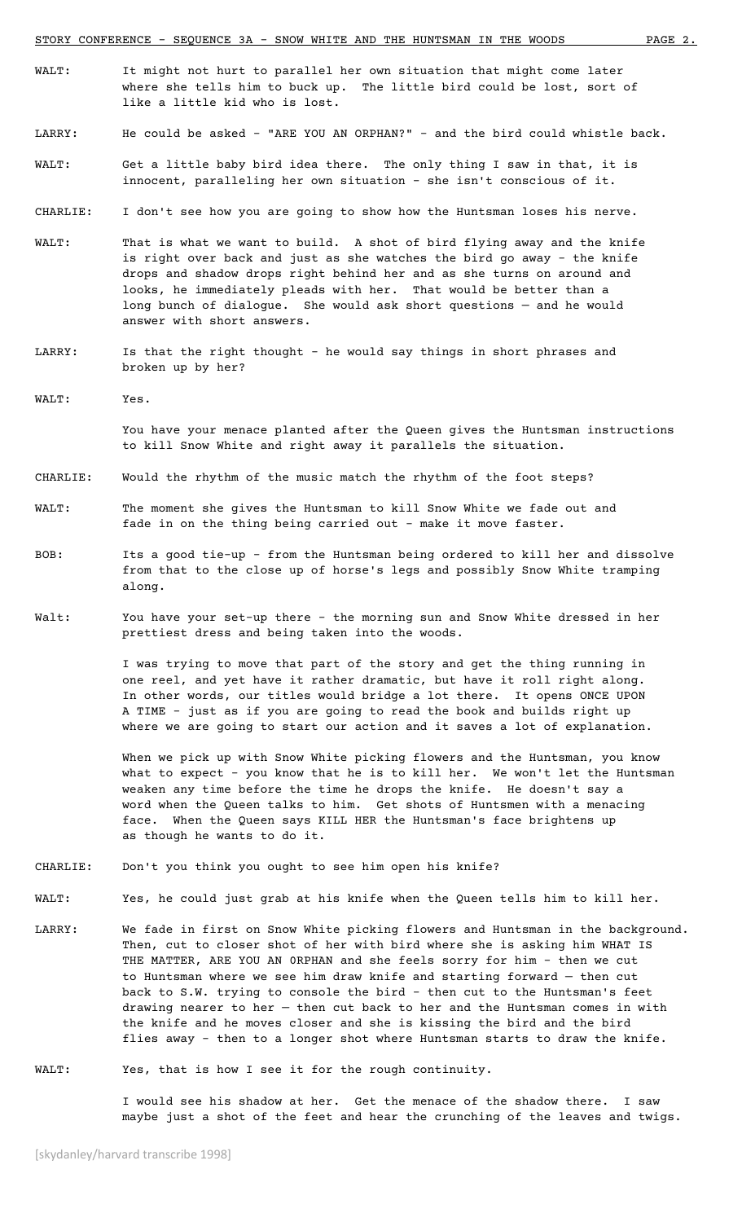- WALT: It might not hurt to parallel her own situation that might come later where she tells him to buck up. The little bird could be lost, sort of like a little kid who is lost.
- LARRY: He could be asked "ARE YOU AN ORPHAN?" and the bird could whistle back.
- WALT: Get a little baby bird idea there. The only thing I saw in that, it is innocent, paralleling her own situation - she isn't conscious of it.
- CHARLIE: I don't see how you are going to show how the Huntsman loses his nerve.
- WALT: That is what we want to build. A shot of bird flying away and the knife is right over back and just as she watches the bird go away - the knife drops and shadow drops right behind her and as she turns on around and looks, he immediately pleads with her. That would be better than a long bunch of dialogue. She would ask short questions — and he would answer with short answers.
- LARRY: Is that the right thought he would say things in short phrases and broken up by her?
- WALT: Yes.

You have your menace planted after the Queen gives the Huntsman instructions to kill Snow White and right away it parallels the situation.

- CHARLIE: Would the rhythm of the music match the rhythm of the foot steps?
- WALT: The moment she gives the Huntsman to kill Snow White we fade out and fade in on the thing being carried out - make it move faster.
- BOB: Its a good tie-up from the Huntsman being ordered to kill her and dissolve from that to the close up of horse's legs and possibly Snow White tramping along.
- Walt: You have your set-up there the morning sun and Snow White dressed in her prettiest dress and being taken into the woods.

I was trying to move that part of the story and get the thing running in one reel, and yet have it rather dramatic, but have it roll right along. In other words, our titles would bridge a lot there. It opens ONCE UPON A TIME - just as if you are going to read the book and builds right up where we are going to start our action and it saves a lot of explanation.

When we pick up with Snow White picking flowers and the Huntsman, you know what to expect – you know that he is to kill her. We won't let the Huntsman weaken any time before the time he drops the knife. He doesn't say a word when the Queen talks to him. Get shots of Huntsmen with a menacing face. When the Queen says KILL HER the Huntsman's face brightens up as though he wants to do it.

- CHARLIE: Don't you think you ought to see him open his knife?
- WALT: Yes, he could just grab at his knife when the Queen tells him to kill her.
- LARRY: We fade in first on Snow White picking flowers and Huntsman in the background. Then, cut to closer shot of her with bird where she is asking him WHAT IS THE MATTER, ARE YOU AN 0RPHAN and she feels sorry for him - then we cut to Huntsman where we see him draw knife and starting forward — then cut back to S.W. trying to console the bird - then cut to the Huntsman's feet drawing nearer to her — then cut back to her and the Huntsman comes in with the knife and he moves closer and she is kissing the bird and the bird flies away - then to a longer shot where Huntsman starts to draw the knife.
- WALT: Yes, that is how I see it for the rough continuity.

I would see his shadow at her. Get the menace of the shadow there. I saw maybe just a shot of the feet and hear the crunching of the leaves and twigs.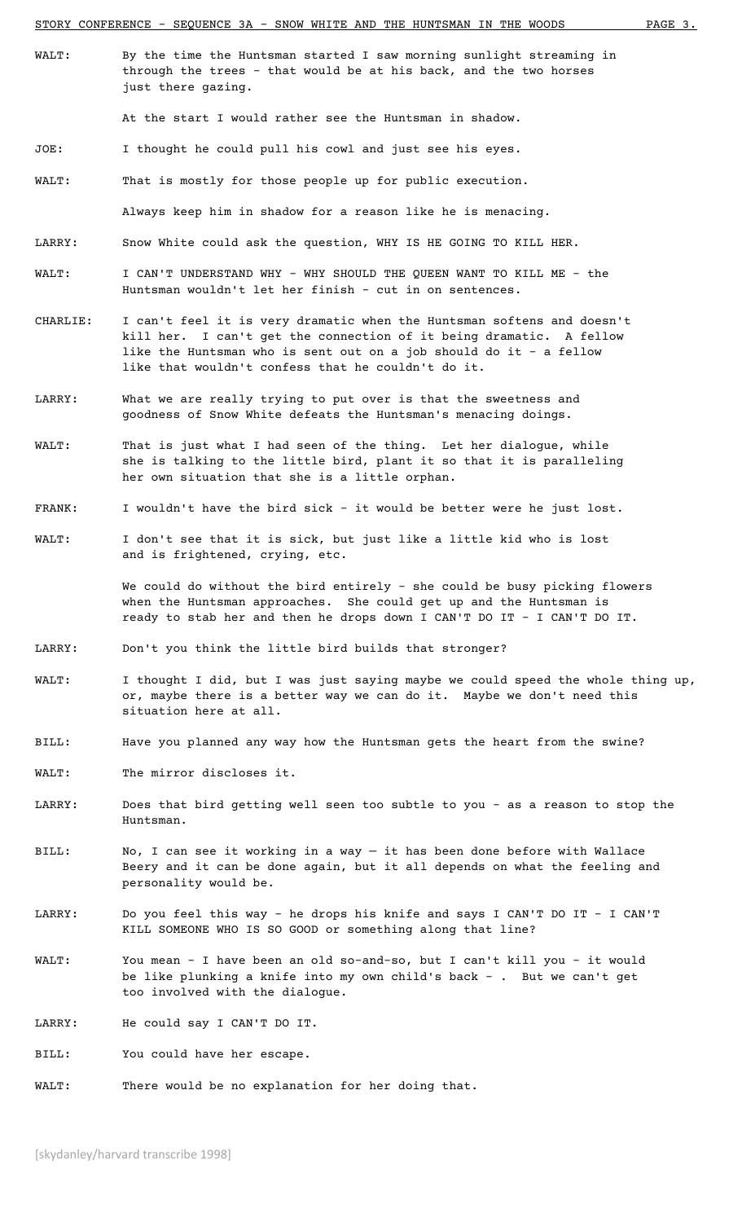- 
- WALT: By the time the Huntsman started I saw morning sunlight streaming in through the trees - that would be at his back, and the two horses just there gazing.

At the start I would rather see the Huntsman in shadow.

- JOE: I thought he could pull his cowl and just see his eyes.
- WALT: That is mostly for those people up for public execution.

Always keep him in shadow for a reason like he is menacing.

- LARRY: Snow White could ask the question, WHY IS HE GOING TO KILL HER.
- WALT: I CAN'T UNDERSTAND WHY WHY SHOULD THE QUEEN WANT TO KILL ME the Huntsman wouldn't let her finish - cut in on sentences.
- CHARLIE: I can't feel it is very dramatic when the Huntsman softens and doesn't kill her. I can't get the connection of it being dramatic. A fellow like the Huntsman who is sent out on a job should do it - a fellow like that wouldn't confess that he couldn't do it.
- LARRY: What we are really trying to put over is that the sweetness and goodness of Snow White defeats the Huntsman's menacing doings.
- WALT: That is just what I had seen of the thing. Let her dialogue, while she is talking to the little bird, plant it so that it is paralleling her own situation that she is a little orphan.
- FRANK: I wouldn't have the bird sick it would be better were he just lost.
- WALT: I don't see that it is sick, but just like a little kid who is lost and is frightened, crying, etc.

We could do without the bird entirely - she could be busy picking flowers when the Huntsman approaches. She could get up and the Huntsman is ready to stab her and then he drops down I CAN'T DO IT - I CAN'T DO IT.

- LARRY: Don't you think the little bird builds that stronger?
- WALT: I thought I did, but I was just saying maybe we could speed the whole thing up, or, maybe there is a better way we can do it. Maybe we don't need this situation here at all.
- BILL: Have you planned any way how the Huntsman gets the heart from the swine?
- WALT: The mirror discloses it.
- LARRY: Does that bird getting well seen too subtle to you as a reason to stop the Huntsman.
- BILL: No, I can see it working in a way it has been done before with Wallace Beery and it can be done again, but it all depends on what the feeling and personality would be.
- LARRY: Do you feel this way he drops his knife and says I CAN'T DO IT I CAN'T KILL SOMEONE WHO IS SO GOOD or something along that line?
- WALT: You mean I have been an old so-and-so, but I can't kill you it would be like plunking a knife into my own child's back - . But we can't get too involved with the dialogue.
- LARRY: He could say I CAN'T DO IT.
- BILL: You could have her escape.

WALT: There would be no explanation for her doing that.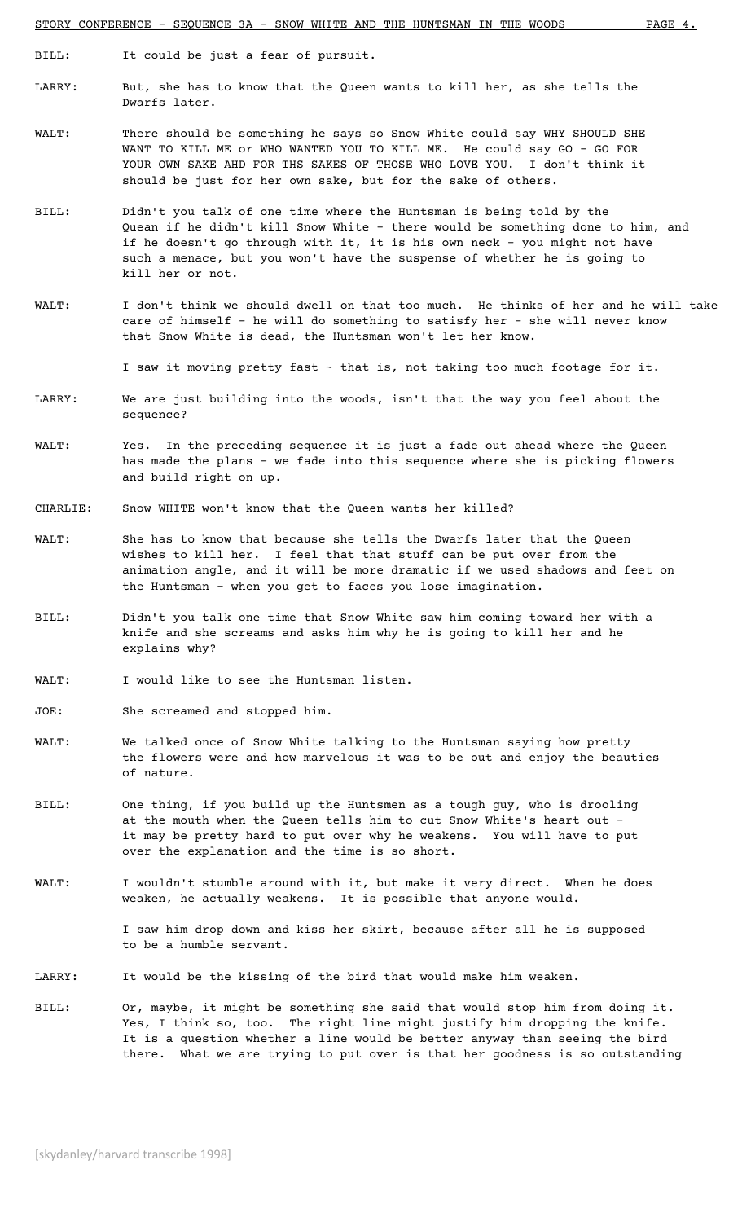BILL: It could be just a fear of pursuit.

- LARRY: But, she has to know that the Queen wants to kill her, as she tells the Dwarfs later.
- WALT: There should be something he says so Snow White could say WHY SHOULD SHE WANT TO KILL ME or WHO WANTED YOU TO KILL ME. He could say GO - GO FOR YOUR OWN SAKE AHD FOR THS SAKES OF THOSE WHO LOVE YOU. I don't think it should be just for her own sake, but for the sake of others.
- BILL: Didn't you talk of one time where the Huntsman is being told by the Quean if he didn't kill Snow White - there would be something done to him, and if he doesn't go through with it, it is his own neck - you might not have such a menace, but you won't have the suspense of whether he is going to kill her or not.
- WALT: I don't think we should dwell on that too much. He thinks of her and he will take care of himself - he will do something to satisfy her - she will never know that Snow White is dead, the Huntsman won't let her know.

I saw it moving pretty fast ~ that is, not taking too much footage for it.

- LARRY: We are just building into the woods, isn't that the way you feel about the sequence?
- WALT: Yes. In the preceding sequence it is just a fade out ahead where the Queen has made the plans - we fade into this sequence where she is picking flowers and build right on up.
- CHARLIE: Snow WHITE won't know that the Queen wants her killed?
- WALT: She has to know that because she tells the Dwarfs later that the Queen wishes to kill her. I feel that that stuff can be put over from the animation angle, and it will be more dramatic if we used shadows and feet on the Huntsman - when you get to faces you lose imagination.
- BILL: Didn't you talk one time that Snow White saw him coming toward her with a knife and she screams and asks him why he is going to kill her and he explains why?
- WALT: I would like to see the Huntsman listen.
- JOE: She screamed and stopped him.
- WALT: We talked once of Snow White talking to the Huntsman saying how pretty the flowers were and how marvelous it was to be out and enjoy the beauties of nature.
- BILL: One thing, if you build up the Huntsmen as a tough guy, who is drooling at the mouth when the Queen tells him to cut Snow White's heart out – it may be pretty hard to put over why he weakens. You will have to put over the explanation and the time is so short.
- WALT: I wouldn't stumble around with it, but make it very direct. When he does weaken, he actually weakens. It is possible that anyone would.

I saw him drop down and kiss her skirt, because after all he is supposed to be a humble servant.

- LARRY: It would be the kissing of the bird that would make him weaken.
- BILL: Or, maybe, it might be something she said that would stop him from doing it. Yes, I think so, too. The right line might justify him dropping the knife. It is a question whether a line would be better anyway than seeing the bird there. What we are trying to put over is that her goodness is so outstanding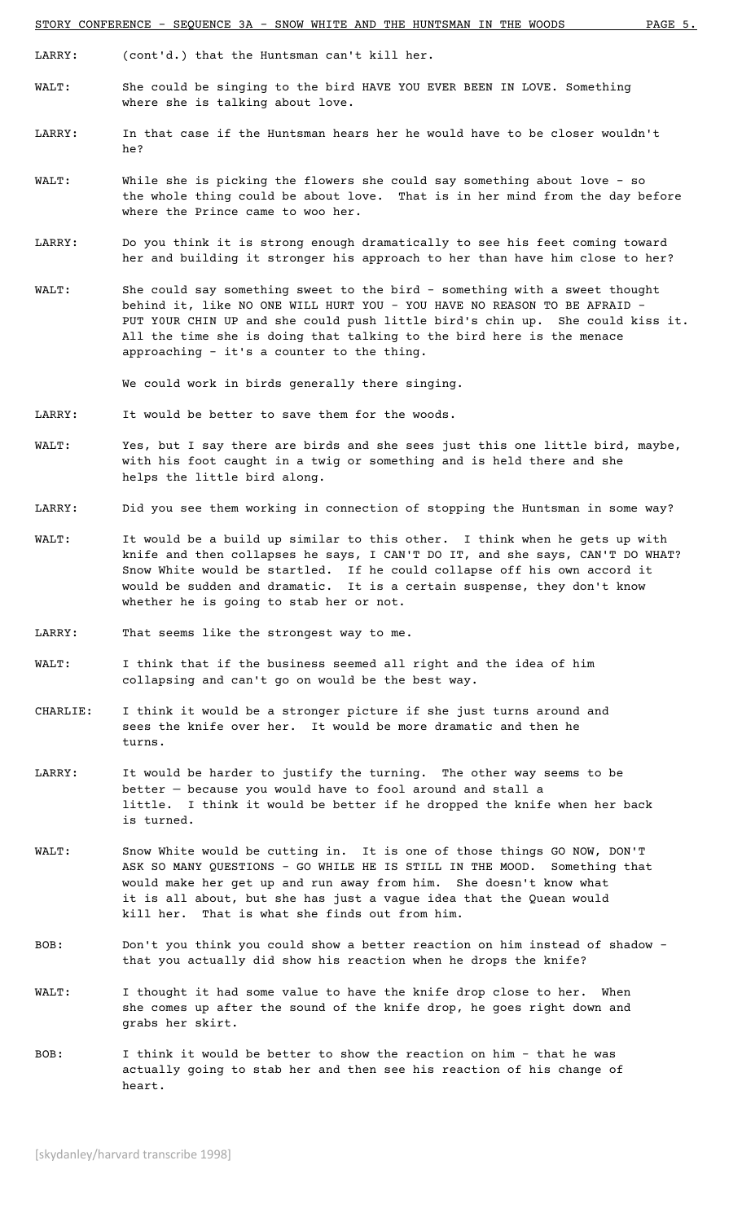LARRY: (cont'd.) that the Huntsman can't kill her.

- WALT: She could be singing to the bird HAVE YOU EVER BEEN IN LOVE. Something where she is talking about love.
- LARRY: In that case if the Huntsman hears her he would have to be closer wouldn't he?
- WALT: While she is picking the flowers she could say something about love so the whole thing could be about love. That is in her mind from the day before where the Prince came to woo her.
- LARRY: Do you think it is strong enough dramatically to see his feet coming toward her and building it stronger his approach to her than have him close to her?
- WALT: She could say something sweet to the bird something with a sweet thought behind it, like NO ONE WILL HURT YOU - YOU HAVE NO REASON TO BE AFRAID -PUT Y0UR CHIN UP and she could push little bird's chin up. She could kiss it. All the time she is doing that talking to the bird here is the menace approaching – it's a counter to the thing.

We could work in birds generally there singing.

- LARRY: It would be better to save them for the woods.
- WALT: Yes, but I say there are birds and she sees just this one little bird, maybe, with his foot caught in a twig or something and is held there and she helps the little bird along.
- LARRY: Did you see them working in connection of stopping the Huntsman in some way?
- WALT: It would be a build up similar to this other. I think when he gets up with knife and then collapses he says, I CAN'T DO IT, and she says, CAN'T DO WHAT? Snow White would be startled. If he could collapse off his own accord it would be sudden and dramatic. It is a certain suspense, they don't know whether he is going to stab her or not.
- LARRY: That seems like the strongest way to me.
- WALT: I think that if the business seemed all right and the idea of him collapsing and can't go on would be the best way.
- CHARLIE: I think it would be a stronger picture if she just turns around and sees the knife over her. It would be more dramatic and then he turns.
- LARRY: It would be harder to justify the turning. The other way seems to be better — because you would have to fool around and stall a little. I think it would be better if he dropped the knife when her back is turned.
- WALT: Snow White would be cutting in. It is one of those things GO NOW, DON'T ASK SO MANY QUESTIONS - GO WHILE HE IS STILL IN THE MOOD. Something that would make her get up and run away from him. She doesn't know what it is all about, but she has just a vague idea that the Quean would kill her. That is what she finds out from him.
- BOB: Don't you think you could show a better reaction on him instead of shadow that you actually did show his reaction when he drops the knife?
- WALT: I thought it had some value to have the knife drop close to her. When she comes up after the sound of the knife drop, he goes right down and grabs her skirt.
- BOB: I think it would be better to show the reaction on him that he was actually going to stab her and then see his reaction of his change of heart.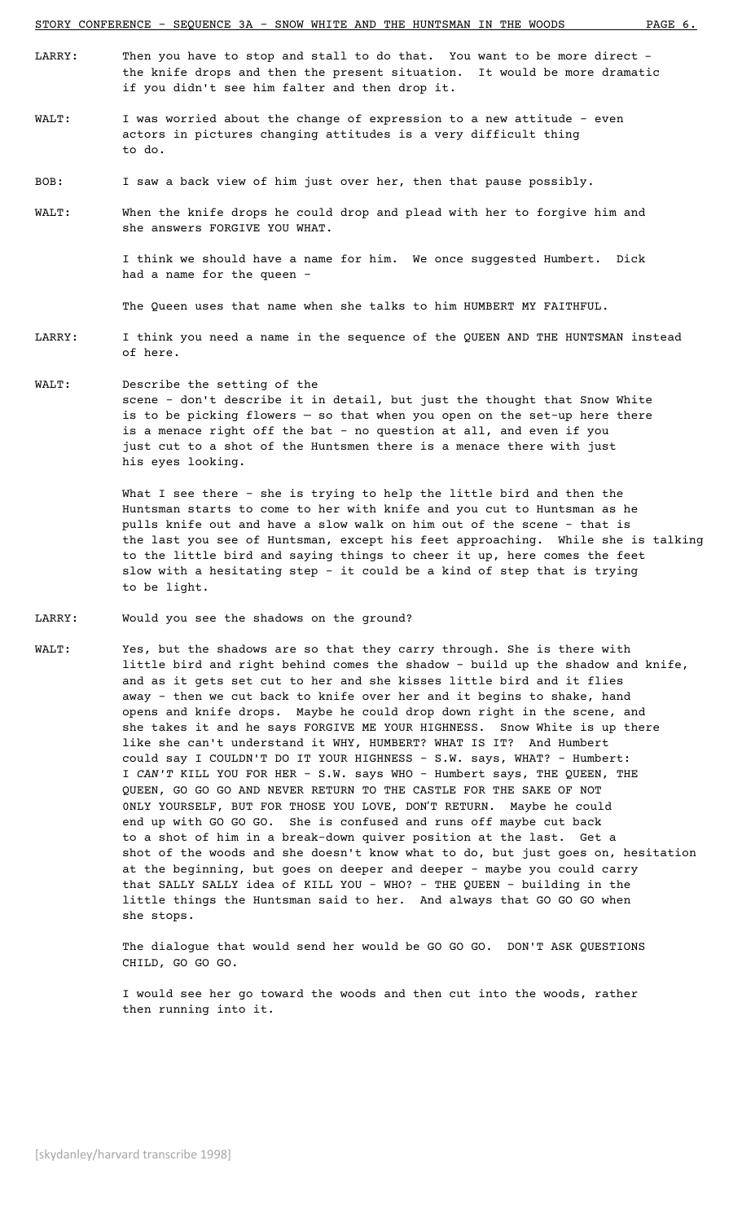- LARRY: Then you have to stop and stall to do that. You want to be more direct the knife drops and then the present situation. It would be more dramatic if you didn't see him falter and then drop it.
- WALT: I was worried about the change of expression to a new attitude even actors in pictures changing attitudes is a very difficult thing to do.
- BOB: I saw a back view of him just over her, then that pause possibly.
- WALT: When the knife drops he could drop and plead with her to forgive him and she answers FORGIVE YOU WHAT.

I think we should have a name for him. We once suggested Humbert. Dick had a name for the queen -

The Queen uses that name when she talks to him HUMBERT MY FAITHFUL.

- LARRY: I think you need a name in the sequence of the QUEEN AND THE HUNTSMAN instead of here.
- WALT: Describe the setting of the scene – don't describe it in detail, but just the thought that Snow White is to be picking flowers — so that when you open on the set-up here there is a menace right off the bat - no question at all, and even if you just cut to a shot of the Huntsmen there is a menace there with just his eyes looking.

What I see there - she is trying to help the little bird and then the Huntsman starts to come to her with knife and you cut to Huntsman as he pulls knife out and have a slow walk on him out of the scene - that is the last you see of Huntsman, except his feet approaching. While she is talking to the little bird and saying things to cheer it up, here comes the feet slow with a hesitating step - it could be a kind of step that is trying to be light.

- LARRY: Would you see the shadows on the ground?
- WALT: Yes, but the shadows are so that they carry through. She is there with little bird and right behind comes the shadow - build up the shadow and knife, and as it gets set cut to her and she kisses little bird and it flies away - then we cut back to knife over her and it begins to shake, hand opens and knife drops. Maybe he could drop down right in the scene, and she takes it and he says FORGIVE ME YOUR HIGHNESS. Snow White is up there like she can't understand it WHY, HUMBERT? WHAT IS IT? And Humbert could say I COULDN'T DO IT YOUR HIGHNESS - S.W. says, WHAT? – Humbert: I *CAN'T* KILL YOU FOR HER - S.W. says WHO - Humbert says, THE QUEEN, THE QUEEN, GO GO GO AND NEVER RETURN TO THE CASTLE FOR THE SAKE OF NOT 0NLY YOURSELF, BUT FOR THOSE YOU LOVE, DON'T RETURN. Maybe he could end up with GO GO GO. She is confused and runs off maybe cut back to a shot of him in a break-down quiver position at the last. Get a shot of the woods and she doesn't know what to do, but just goes on, hesitation at the beginning, but goes on deeper and deeper - maybe you could carry that SALLY SALLY idea of KILL YOU - WHO? - THE QUEEN - building in the little things the Huntsman said to her. And always that GO GO GO when she stops.

The dialogue that would send her would be GO GO GO. DON'T ASK QUESTIONS CHILD, GO GO GO.

I would see her go toward the woods and then cut into the woods, rather then running into it.